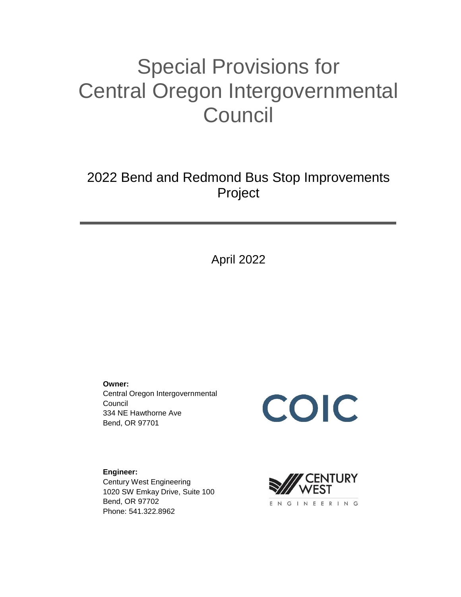# Special Provisions for Central Oregon Intergovernmental **Council**

2022 Bend and Redmond Bus Stop Improvements Project

April 2022

**Owner:**

Central Oregon Intergovernmental Council 334 NE Hawthorne Ave Bend, OR 97701

COIC

**Engineer:** Century West Engineering 1020 SW Emkay Drive, Suite 100 Bend, OR 97702 Phone: 541.322.8962

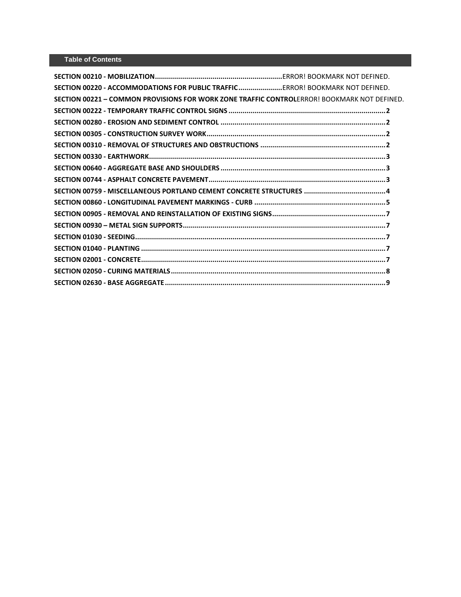| SECTION 00220 - ACCOMMODATIONS FOR PUBLIC TRAFFICERROR! BOOKMARK NOT DEFINED.               |  |
|---------------------------------------------------------------------------------------------|--|
| SECTION 00221 - COMMON PROVISIONS FOR WORK ZONE TRAFFIC CONTROLERROR! BOOKMARK NOT DEFINED. |  |
|                                                                                             |  |
|                                                                                             |  |
|                                                                                             |  |
|                                                                                             |  |
|                                                                                             |  |
|                                                                                             |  |
|                                                                                             |  |
|                                                                                             |  |
|                                                                                             |  |
|                                                                                             |  |
|                                                                                             |  |
|                                                                                             |  |
|                                                                                             |  |
|                                                                                             |  |
|                                                                                             |  |
|                                                                                             |  |
|                                                                                             |  |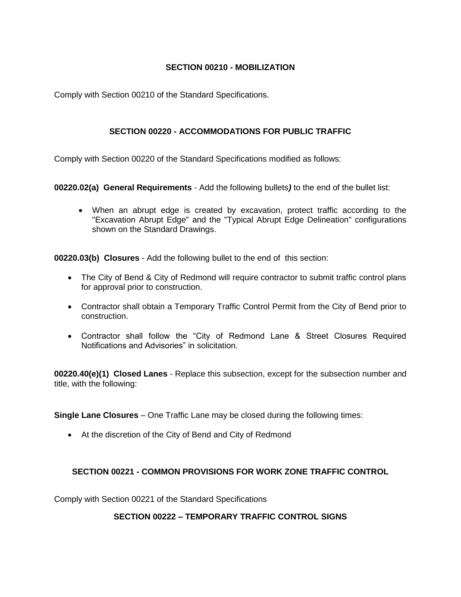### **SECTION 00210 - MOBILIZATION**

Comply with Section 00210 of the Standard Specifications.

### **SECTION 00220 - ACCOMMODATIONS FOR PUBLIC TRAFFIC**

Comply with Section 00220 of the Standard Specifications modified as follows:

**00220.02(a) General Requirements** - Add the following bullets*)* to the end of the bullet list:

 When an abrupt edge is created by excavation, protect traffic according to the "Excavation Abrupt Edge" and the "Typical Abrupt Edge Delineation" configurations shown on the Standard Drawings.

**00220.03(b) Closures** - Add the following bullet to the end of this section:

- The City of Bend & City of Redmond will require contractor to submit traffic control plans for approval prior to construction.
- Contractor shall obtain a Temporary Traffic Control Permit from the City of Bend prior to construction.
- Contractor shall follow the "City of Redmond Lane & Street Closures Required Notifications and Advisories" in solicitation.

**00220.40(e)(1) Closed Lanes** - Replace this subsection, except for the subsection number and title, with the following:

**Single Lane Closures** – One Traffic Lane may be closed during the following times:

At the discretion of the City of Bend and City of Redmond

# **SECTION 00221 - COMMON PROVISIONS FOR WORK ZONE TRAFFIC CONTROL**

Comply with Section 00221 of the Standard Specifications

#### **SECTION 00222 – TEMPORARY TRAFFIC CONTROL SIGNS**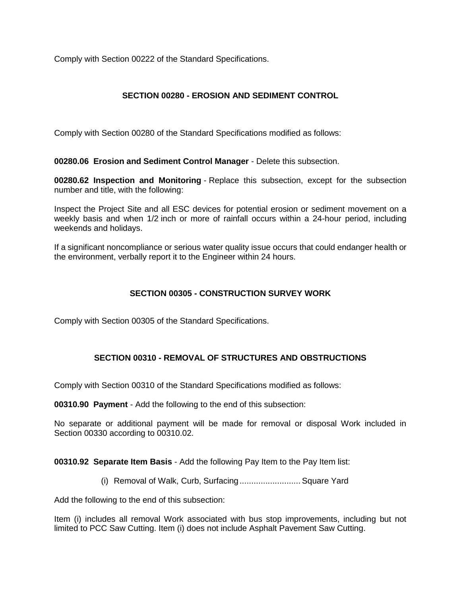Comply with Section 00222 of the Standard Specifications.

## **SECTION 00280 - EROSION AND SEDIMENT CONTROL**

Comply with Section 00280 of the Standard Specifications modified as follows:

**00280.06 Erosion and Sediment Control Manager** - Delete this subsection.

**00280.62 Inspection and Monitoring** - Replace this subsection, except for the subsection number and title, with the following:

Inspect the Project Site and all ESC devices for potential erosion or sediment movement on a weekly basis and when 1/2 inch or more of rainfall occurs within a 24-hour period, including weekends and holidays.

If a significant noncompliance or serious water quality issue occurs that could endanger health or the environment, verbally report it to the Engineer within 24 hours.

#### **SECTION 00305 - CONSTRUCTION SURVEY WORK**

Comply with Section 00305 of the Standard Specifications.

#### **SECTION 00310 - REMOVAL OF STRUCTURES AND OBSTRUCTIONS**

Comply with Section 00310 of the Standard Specifications modified as follows:

**00310.90 Payment** - Add the following to the end of this subsection:

No separate or additional payment will be made for removal or disposal Work included in Section 00330 according to 00310.02.

**00310.92 Separate Item Basis** - Add the following Pay Item to the Pay Item list:

(i) Removal of Walk, Curb, Surfacing.......................... Square Yard

Add the following to the end of this subsection:

Item (i) includes all removal Work associated with bus stop improvements, including but not limited to PCC Saw Cutting. Item (i) does not include Asphalt Pavement Saw Cutting.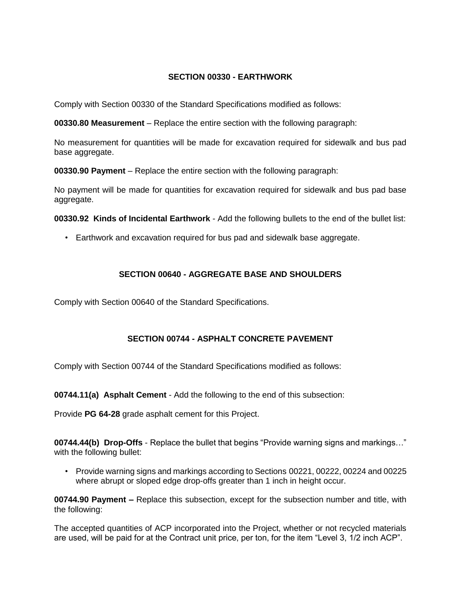#### **SECTION 00330 - EARTHWORK**

Comply with Section 00330 of the Standard Specifications modified as follows:

**00330.80 Measurement** – Replace the entire section with the following paragraph:

No measurement for quantities will be made for excavation required for sidewalk and bus pad base aggregate.

**00330.90 Payment** – Replace the entire section with the following paragraph:

No payment will be made for quantities for excavation required for sidewalk and bus pad base aggregate.

**00330.92 Kinds of Incidental Earthwork** - Add the following bullets to the end of the bullet list:

• Earthwork and excavation required for bus pad and sidewalk base aggregate.

### **SECTION 00640 - AGGREGATE BASE AND SHOULDERS**

Comply with Section 00640 of the Standard Specifications.

# **SECTION 00744 - ASPHALT CONCRETE PAVEMENT**

Comply with Section 00744 of the Standard Specifications modified as follows:

**00744.11(a) Asphalt Cement** - Add the following to the end of this subsection:

Provide **PG 64-28** grade asphalt cement for this Project.

**00744.44(b) Drop-Offs** - Replace the bullet that begins "Provide warning signs and markings…" with the following bullet:

• Provide warning signs and markings according to Sections 00221, 00222, 00224 and 00225 where abrupt or sloped edge drop-offs greater than 1 inch in height occur.

**00744.90 Payment –** Replace this subsection, except for the subsection number and title, with the following:

The accepted quantities of ACP incorporated into the Project, whether or not recycled materials are used, will be paid for at the Contract unit price, per ton, for the item "Level 3, 1/2 inch ACP".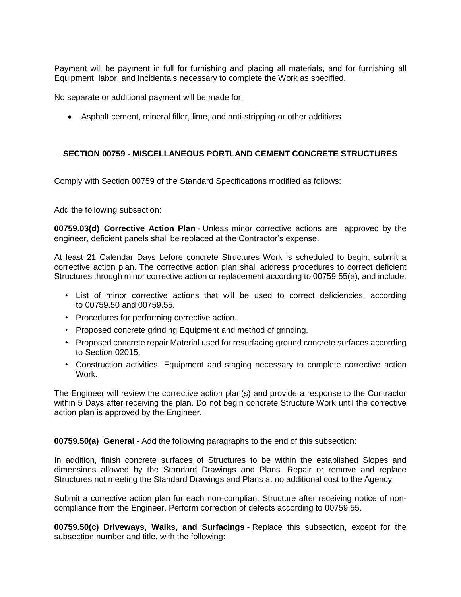Payment will be payment in full for furnishing and placing all materials, and for furnishing all Equipment, labor, and Incidentals necessary to complete the Work as specified.

No separate or additional payment will be made for:

Asphalt cement, mineral filler, lime, and anti-stripping or other additives

#### **SECTION 00759 - MISCELLANEOUS PORTLAND CEMENT CONCRETE STRUCTURES**

Comply with Section 00759 of the Standard Specifications modified as follows:

Add the following subsection:

**00759.03(d) Corrective Action Plan** - Unless minor corrective actions are approved by the engineer, deficient panels shall be replaced at the Contractor's expense.

At least 21 Calendar Days before concrete Structures Work is scheduled to begin, submit a corrective action plan. The corrective action plan shall address procedures to correct deficient Structures through minor corrective action or replacement according to 00759.55(a), and include:

- List of minor corrective actions that will be used to correct deficiencies, according to 00759.50 and 00759.55.
- Procedures for performing corrective action.
- Proposed concrete grinding Equipment and method of grinding.
- Proposed concrete repair Material used for resurfacing ground concrete surfaces according to Section 02015.
- Construction activities, Equipment and staging necessary to complete corrective action Work.

The Engineer will review the corrective action plan(s) and provide a response to the Contractor within 5 Days after receiving the plan. Do not begin concrete Structure Work until the corrective action plan is approved by the Engineer.

**00759.50(a) General** - Add the following paragraphs to the end of this subsection:

In addition, finish concrete surfaces of Structures to be within the established Slopes and dimensions allowed by the Standard Drawings and Plans. Repair or remove and replace Structures not meeting the Standard Drawings and Plans at no additional cost to the Agency.

Submit a corrective action plan for each non-compliant Structure after receiving notice of noncompliance from the Engineer. Perform correction of defects according to 00759.55.

**00759.50(c) Driveways, Walks, and Surfacings** - Replace this subsection, except for the subsection number and title, with the following: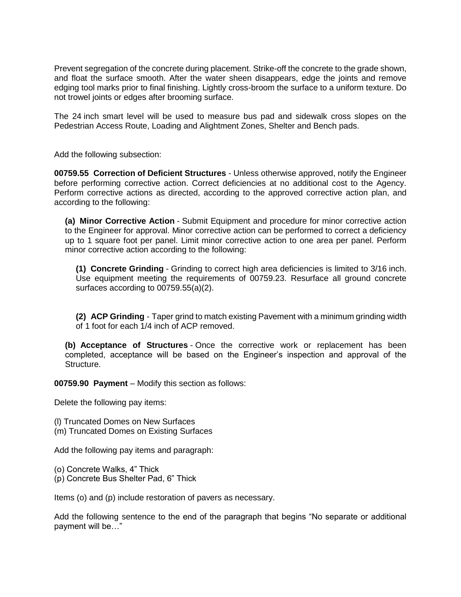Prevent segregation of the concrete during placement. Strike-off the concrete to the grade shown, and float the surface smooth. After the water sheen disappears, edge the joints and remove edging tool marks prior to final finishing. Lightly cross-broom the surface to a uniform texture. Do not trowel joints or edges after brooming surface.

The 24 inch smart level will be used to measure bus pad and sidewalk cross slopes on the Pedestrian Access Route, Loading and Alightment Zones, Shelter and Bench pads.

Add the following subsection:

**00759.55 Correction of Deficient Structures** - Unless otherwise approved, notify the Engineer before performing corrective action. Correct deficiencies at no additional cost to the Agency. Perform corrective actions as directed, according to the approved corrective action plan, and according to the following:

**(a) Minor Corrective Action** - Submit Equipment and procedure for minor corrective action to the Engineer for approval. Minor corrective action can be performed to correct a deficiency up to 1 square foot per panel. Limit minor corrective action to one area per panel. Perform minor corrective action according to the following:

**(1) Concrete Grinding** - Grinding to correct high area deficiencies is limited to 3/16 inch. Use equipment meeting the requirements of 00759.23. Resurface all ground concrete surfaces according to 00759.55(a)(2).

**(2) ACP Grinding** - Taper grind to match existing Pavement with a minimum grinding width of 1 foot for each 1/4 inch of ACP removed.

**(b) Acceptance of Structures** - Once the corrective work or replacement has been completed, acceptance will be based on the Engineer's inspection and approval of the Structure.

**00759.90 Payment** – Modify this section as follows:

Delete the following pay items:

(l) Truncated Domes on New Surfaces

(m) Truncated Domes on Existing Surfaces

Add the following pay items and paragraph:

(o) Concrete Walks, 4" Thick (p) Concrete Bus Shelter Pad, 6" Thick

Items (o) and (p) include restoration of pavers as necessary.

Add the following sentence to the end of the paragraph that begins "No separate or additional payment will be…"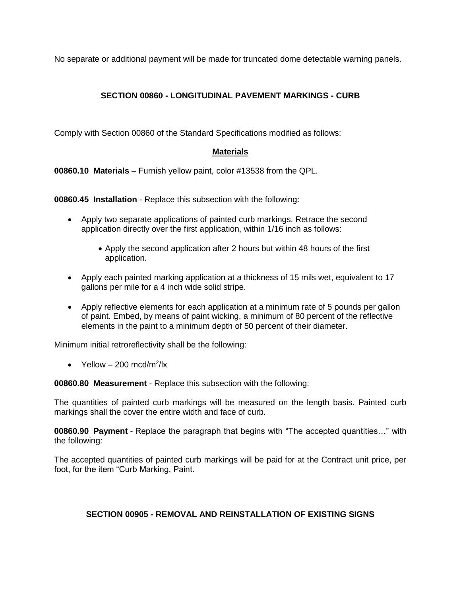No separate or additional payment will be made for truncated dome detectable warning panels.

# **SECTION 00860 - LONGITUDINAL PAVEMENT MARKINGS - CURB**

Comply with Section 00860 of the Standard Specifications modified as follows:

# **Materials**

**00860.10 Materials** – Furnish yellow paint, color #13538 from the QPL.

**00860.45 Installation** - Replace this subsection with the following:

- Apply two separate applications of painted curb markings. Retrace the second application directly over the first application, within 1/16 inch as follows:
	- Apply the second application after 2 hours but within 48 hours of the first application.
- Apply each painted marking application at a thickness of 15 mils wet, equivalent to 17 gallons per mile for a 4 inch wide solid stripe.
- Apply reflective elements for each application at a minimum rate of 5 pounds per gallon of paint. Embed, by means of paint wicking, a minimum of 80 percent of the reflective elements in the paint to a minimum depth of 50 percent of their diameter.

Minimum initial retroreflectivity shall be the following:

• Yellow  $-200 \text{ mod/m}^2/\text{lx}$ 

**00860.80 Measurement** - Replace this subsection with the following:

The quantities of painted curb markings will be measured on the length basis. Painted curb markings shall the cover the entire width and face of curb.

**00860.90 Payment** - Replace the paragraph that begins with "The accepted quantities…" with the following:

The accepted quantities of painted curb markings will be paid for at the Contract unit price, per foot, for the item "Curb Marking, Paint.

# **SECTION 00905 - REMOVAL AND REINSTALLATION OF EXISTING SIGNS**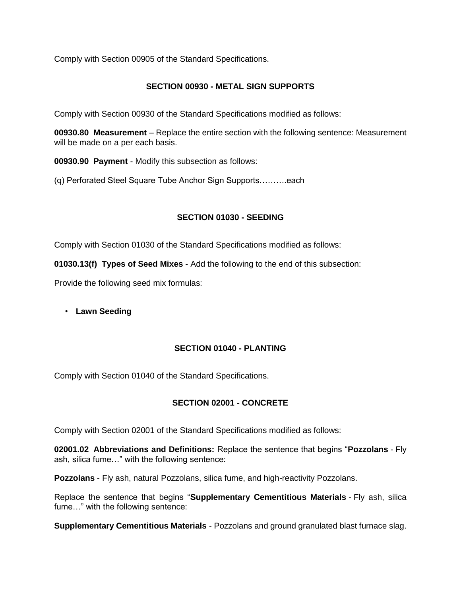Comply with Section 00905 of the Standard Specifications.

## **SECTION 00930 - METAL SIGN SUPPORTS**

Comply with Section 00930 of the Standard Specifications modified as follows:

**00930.80 Measurement** – Replace the entire section with the following sentence: Measurement will be made on a per each basis.

**00930.90 Payment** - Modify this subsection as follows:

(q) Perforated Steel Square Tube Anchor Sign Supports……….each

### **SECTION 01030 - SEEDING**

Comply with Section 01030 of the Standard Specifications modified as follows:

**01030.13(f) Types of Seed Mixes** - Add the following to the end of this subsection:

Provide the following seed mix formulas:

• **Lawn Seeding**

# **SECTION 01040 - PLANTING**

Comply with Section 01040 of the Standard Specifications.

# **SECTION 02001 - CONCRETE**

Comply with Section 02001 of the Standard Specifications modified as follows:

**02001.02 Abbreviations and Definitions:** Replace the sentence that begins "**Pozzolans** - Fly ash, silica fume…" with the following sentence:

**Pozzolans** - Fly ash, natural Pozzolans, silica fume, and high-reactivity Pozzolans.

Replace the sentence that begins "**Supplementary Cementitious Materials** - Fly ash, silica fume…" with the following sentence:

**Supplementary Cementitious Materials** - Pozzolans and ground granulated blast furnace slag.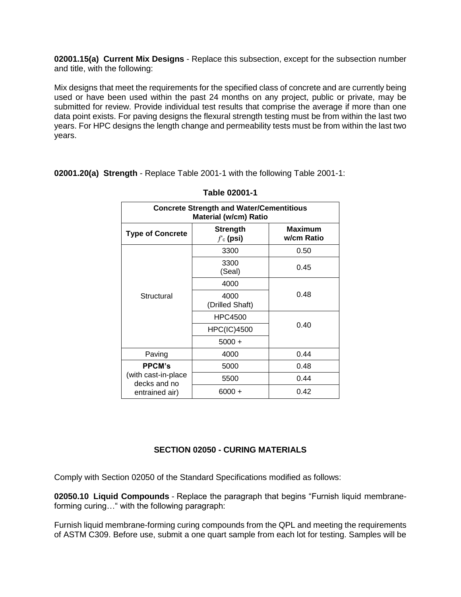**02001.15(a) Current Mix Designs** - Replace this subsection, except for the subsection number and title, with the following:

Mix designs that meet the requirements for the specified class of concrete and are currently being used or have been used within the past 24 months on any project, public or private, may be submitted for review. Provide individual test results that comprise the average if more than one data point exists. For paving designs the flexural strength testing must be from within the last two years. For HPC designs the length change and permeability tests must be from within the last two years.

**02001.20(a) Strength** - Replace Table 2001-1 with the following Table 2001-1:

| <b>Concrete Strength and Water/Cementitious</b><br><b>Material (w/cm) Ratio</b> |                                           |                       |  |  |  |  |  |
|---------------------------------------------------------------------------------|-------------------------------------------|-----------------------|--|--|--|--|--|
| <b>Type of Concrete</b>                                                         | <b>Strength</b><br>$f$ <sub>c</sub> (psi) | Maximum<br>w/cm Ratio |  |  |  |  |  |
|                                                                                 | 3300                                      | 0.50                  |  |  |  |  |  |
| Structural                                                                      | 3300<br>(Seal)                            | 0.45                  |  |  |  |  |  |
|                                                                                 | 4000                                      |                       |  |  |  |  |  |
|                                                                                 | 4000<br>(Drilled Shaft)                   | 0.48                  |  |  |  |  |  |
|                                                                                 | HPC4500                                   |                       |  |  |  |  |  |
|                                                                                 | <b>HPC(IC)4500</b>                        | 0.40                  |  |  |  |  |  |
|                                                                                 | $5000 +$                                  |                       |  |  |  |  |  |
| Paving                                                                          | 4000                                      | 0.44                  |  |  |  |  |  |
| <b>PPCM's</b><br>(with cast-in-place<br>decks and no<br>entrained air)          | 5000                                      | 0.48                  |  |  |  |  |  |
|                                                                                 | 5500                                      | 0.44                  |  |  |  |  |  |
|                                                                                 | $6000 +$                                  | 0.42                  |  |  |  |  |  |

#### **Table 02001-1**

#### **SECTION 02050 - CURING MATERIALS**

Comply with Section 02050 of the Standard Specifications modified as follows:

**02050.10 Liquid Compounds** - Replace the paragraph that begins "Furnish liquid membraneforming curing…" with the following paragraph:

Furnish liquid membrane-forming curing compounds from the QPL and meeting the requirements of ASTM C309. Before use, submit a one quart sample from each lot for testing. Samples will be